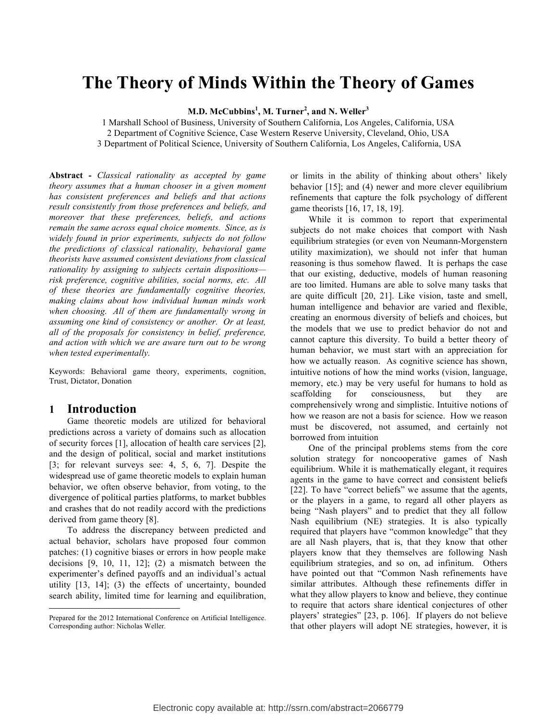# **The Theory of Minds Within the Theory of Games**

**M.D. McCubbins<sup>1</sup> , M. Turner<sup>2</sup> , and N. Weller<sup>3</sup>**

1 Marshall School of Business, University of Southern California, Los Angeles, California, USA 2 Department of Cognitive Science, Case Western Reserve University, Cleveland, Ohio, USA

3 Department of Political Science, University of Southern California, Los Angeles, California, USA

**Abstract -** *Classical rationality as accepted by game theory assumes that a human chooser in a given moment has consistent preferences and beliefs and that actions result consistently from those preferences and beliefs, and moreover that these preferences, beliefs, and actions remain the same across equal choice moments. Since, as is widely found in prior experiments, subjects do not follow the predictions of classical rationality, behavioral game theorists have assumed consistent deviations from classical rationality by assigning to subjects certain dispositions risk preference, cognitive abilities, social norms, etc. All of these theories are fundamentally cognitive theories, making claims about how individual human minds work when choosing. All of them are fundamentally wrong in assuming one kind of consistency or another. Or at least, all of the proposals for consistency in belief, preference, and action with which we are aware turn out to be wrong when tested experimentally.*

Keywords: Behavioral game theory, experiments, cognition, Trust, Dictator, Donation

### **1 Introduction**

Game theoretic models are utilized for behavioral predictions across a variety of domains such as allocation of security forces [1], allocation of health care services [2], and the design of political, social and market institutions [3; for relevant surveys see: 4, 5, 6, 7]. Despite the widespread use of game theoretic models to explain human behavior, we often observe behavior, from voting, to the divergence of political parties platforms, to market bubbles and crashes that do not readily accord with the predictions derived from game theory [8].

To address the discrepancy between predicted and actual behavior, scholars have proposed four common patches: (1) cognitive biases or errors in how people make decisions [9, 10, 11, 12]; (2) a mismatch between the experimenter's defined payoffs and an individual's actual utility [13, 14]; (3) the effects of uncertainty, bounded search ability, limited time for learning and equilibration,

or limits in the ability of thinking about others' likely behavior [15]; and (4) newer and more clever equilibrium refinements that capture the folk psychology of different game theorists [16, 17, 18, 19].

While it is common to report that experimental subjects do not make choices that comport with Nash equilibrium strategies (or even von Neumann-Morgenstern utility maximization), we should not infer that human reasoning is thus somehow flawed. It is perhaps the case that our existing, deductive, models of human reasoning are too limited. Humans are able to solve many tasks that are quite difficult [20, 21]. Like vision, taste and smell, human intelligence and behavior are varied and flexible, creating an enormous diversity of beliefs and choices, but the models that we use to predict behavior do not and cannot capture this diversity. To build a better theory of human behavior, we must start with an appreciation for how we actually reason. As cognitive science has shown, intuitive notions of how the mind works (vision, language, memory, etc.) may be very useful for humans to hold as scaffolding for consciousness, but they are comprehensively wrong and simplistic. Intuitive notions of how we reason are not a basis for science. How we reason must be discovered, not assumed, and certainly not borrowed from intuition

One of the principal problems stems from the core solution strategy for noncooperative games of Nash equilibrium. While it is mathematically elegant, it requires agents in the game to have correct and consistent beliefs [22]. To have "correct beliefs" we assume that the agents, or the players in a game, to regard all other players as being "Nash players" and to predict that they all follow Nash equilibrium (NE) strategies. It is also typically required that players have "common knowledge" that they are all Nash players, that is, that they know that other players know that they themselves are following Nash equilibrium strategies, and so on, ad infinitum. Others have pointed out that "Common Nash refinements have similar attributes. Although these refinements differ in what they allow players to know and believe, they continue to require that actors share identical conjectures of other players' strategies" [23, p. 106]. If players do not believe that other players will adopt NE strategies, however, it is

Prepared for the 2012 International Conference on Artificial Intelligence. Corresponding author: Nicholas Weller.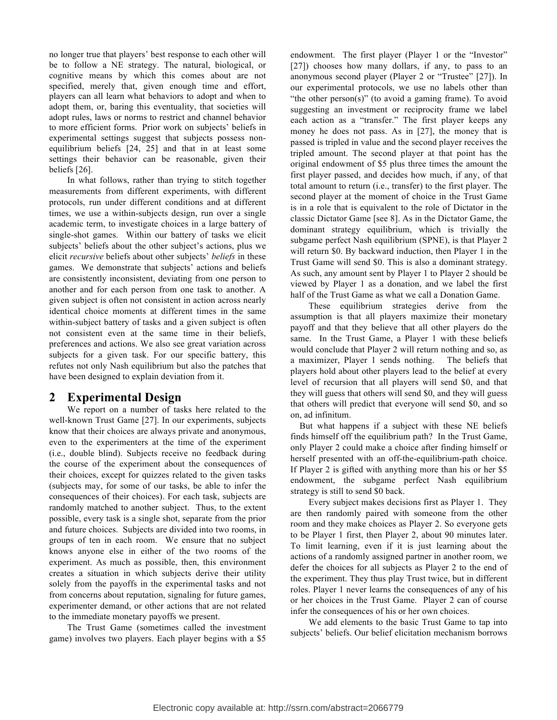no longer true that players' best response to each other will be to follow a NE strategy. The natural, biological, or cognitive means by which this comes about are not specified, merely that, given enough time and effort, players can all learn what behaviors to adopt and when to adopt them, or, baring this eventuality, that societies will adopt rules, laws or norms to restrict and channel behavior to more efficient forms. Prior work on subjects' beliefs in experimental settings suggest that subjects possess nonequilibrium beliefs [24, 25] and that in at least some settings their behavior can be reasonable, given their beliefs [26].

In what follows, rather than trying to stitch together measurements from different experiments, with different protocols, run under different conditions and at different times, we use a within-subjects design, run over a single academic term, to investigate choices in a large battery of single-shot games. Within our battery of tasks we elicit subjects' beliefs about the other subject's actions, plus we elicit *recursive* beliefs about other subjects' *beliefs* in these games. We demonstrate that subjects' actions and beliefs are consistently inconsistent, deviating from one person to another and for each person from one task to another. A given subject is often not consistent in action across nearly identical choice moments at different times in the same within-subject battery of tasks and a given subject is often not consistent even at the same time in their beliefs, preferences and actions. We also see great variation across subjects for a given task. For our specific battery, this refutes not only Nash equilibrium but also the patches that have been designed to explain deviation from it.

### **2 Experimental Design**

We report on a number of tasks here related to the well-known Trust Game [27]. In our experiments, subjects know that their choices are always private and anonymous, even to the experimenters at the time of the experiment (i.e., double blind). Subjects receive no feedback during the course of the experiment about the consequences of their choices, except for quizzes related to the given tasks (subjects may, for some of our tasks, be able to infer the consequences of their choices). For each task, subjects are randomly matched to another subject. Thus, to the extent possible, every task is a single shot, separate from the prior and future choices. Subjects are divided into two rooms, in groups of ten in each room. We ensure that no subject knows anyone else in either of the two rooms of the experiment. As much as possible, then, this environment creates a situation in which subjects derive their utility solely from the payoffs in the experimental tasks and not from concerns about reputation, signaling for future games, experimenter demand, or other actions that are not related to the immediate monetary payoffs we present.

The Trust Game (sometimes called the investment game) involves two players. Each player begins with a \$5

endowment. The first player (Player 1 or the "Investor" [27]) chooses how many dollars, if any, to pass to an anonymous second player (Player 2 or "Trustee" [27]). In our experimental protocols, we use no labels other than "the other person $(s)$ " (to avoid a gaming frame). To avoid suggesting an investment or reciprocity frame we label each action as a "transfer." The first player keeps any money he does not pass. As in [27], the money that is passed is tripled in value and the second player receives the tripled amount. The second player at that point has the original endowment of \$5 plus three times the amount the first player passed, and decides how much, if any, of that total amount to return (i.e., transfer) to the first player. The second player at the moment of choice in the Trust Game is in a role that is equivalent to the role of Dictator in the classic Dictator Game [see 8]. As in the Dictator Game, the dominant strategy equilibrium, which is trivially the subgame perfect Nash equilibrium (SPNE), is that Player 2 will return \$0. By backward induction, then Player 1 in the Trust Game will send \$0. This is also a dominant strategy. As such, any amount sent by Player 1 to Player 2 should be viewed by Player 1 as a donation, and we label the first half of the Trust Game as what we call a Donation Game.

These equilibrium strategies derive from the assumption is that all players maximize their monetary payoff and that they believe that all other players do the same. In the Trust Game, a Player 1 with these beliefs would conclude that Player 2 will return nothing and so, as a maximizer, Player 1 sends nothing. The beliefs that players hold about other players lead to the belief at every level of recursion that all players will send \$0, and that they will guess that others will send \$0, and they will guess that others will predict that everyone will send \$0, and so on, ad infinitum.

But what happens if a subject with these NE beliefs finds himself off the equilibrium path? In the Trust Game, only Player 2 could make a choice after finding himself or herself presented with an off-the-equilibrium-path choice. If Player 2 is gifted with anything more than his or her \$5 endowment, the subgame perfect Nash equilibrium strategy is still to send \$0 back.

Every subject makes decisions first as Player 1. They are then randomly paired with someone from the other room and they make choices as Player 2. So everyone gets to be Player 1 first, then Player 2, about 90 minutes later. To limit learning, even if it is just learning about the actions of a randomly assigned partner in another room, we defer the choices for all subjects as Player 2 to the end of the experiment. They thus play Trust twice, but in different roles. Player 1 never learns the consequences of any of his or her choices in the Trust Game. Player 2 can of course infer the consequences of his or her own choices.

We add elements to the basic Trust Game to tap into subjects' beliefs. Our belief elicitation mechanism borrows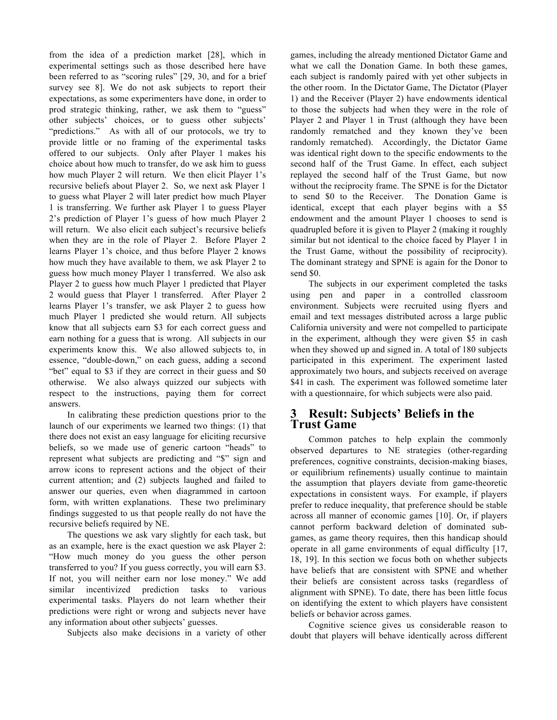from the idea of a prediction market [28], which in experimental settings such as those described here have been referred to as "scoring rules" [29, 30, and for a brief survey see 8]. We do not ask subjects to report their expectations, as some experimenters have done, in order to prod strategic thinking, rather, we ask them to "guess" other subjects' choices, or to guess other subjects' "predictions." As with all of our protocols, we try to provide little or no framing of the experimental tasks offered to our subjects. Only after Player 1 makes his choice about how much to transfer, do we ask him to guess how much Player 2 will return. We then elicit Player 1's recursive beliefs about Player 2. So, we next ask Player 1 to guess what Player 2 will later predict how much Player 1 is transferring. We further ask Player 1 to guess Player 2's prediction of Player 1's guess of how much Player 2 will return. We also elicit each subject's recursive beliefs when they are in the role of Player 2. Before Player 2 learns Player 1's choice, and thus before Player 2 knows how much they have available to them, we ask Player 2 to guess how much money Player 1 transferred. We also ask Player 2 to guess how much Player 1 predicted that Player 2 would guess that Player 1 transferred. After Player 2 learns Player 1's transfer, we ask Player 2 to guess how much Player 1 predicted she would return. All subjects know that all subjects earn \$3 for each correct guess and earn nothing for a guess that is wrong. All subjects in our experiments know this. We also allowed subjects to, in essence, "double-down," on each guess, adding a second "bet" equal to \$3 if they are correct in their guess and \$0 otherwise. We also always quizzed our subjects with respect to the instructions, paying them for correct answers.

In calibrating these prediction questions prior to the launch of our experiments we learned two things: (1) that there does not exist an easy language for eliciting recursive beliefs, so we made use of generic cartoon "heads" to represent what subjects are predicting and "\$" sign and arrow icons to represent actions and the object of their current attention; and (2) subjects laughed and failed to answer our queries, even when diagrammed in cartoon form, with written explanations. These two preliminary findings suggested to us that people really do not have the recursive beliefs required by NE.

The questions we ask vary slightly for each task, but as an example, here is the exact question we ask Player 2: "How much money do you guess the other person transferred to you? If you guess correctly, you will earn \$3. If not, you will neither earn nor lose money." We add similar incentivized prediction tasks to various experimental tasks. Players do not learn whether their predictions were right or wrong and subjects never have any information about other subjects' guesses.

Subjects also make decisions in a variety of other

games, including the already mentioned Dictator Game and what we call the Donation Game. In both these games, each subject is randomly paired with yet other subjects in the other room. In the Dictator Game, The Dictator (Player 1) and the Receiver (Player 2) have endowments identical to those the subjects had when they were in the role of Player 2 and Player 1 in Trust (although they have been randomly rematched and they known they've been randomly rematched). Accordingly, the Dictator Game was identical right down to the specific endowments to the second half of the Trust Game. In effect, each subject replayed the second half of the Trust Game, but now without the reciprocity frame. The SPNE is for the Dictator to send \$0 to the Receiver. The Donation Game is identical, except that each player begins with a \$5 endowment and the amount Player 1 chooses to send is quadrupled before it is given to Player 2 (making it roughly similar but not identical to the choice faced by Player 1 in the Trust Game, without the possibility of reciprocity). The dominant strategy and SPNE is again for the Donor to send \$0.

The subjects in our experiment completed the tasks using pen and paper in a controlled classroom environment. Subjects were recruited using flyers and email and text messages distributed across a large public California university and were not compelled to participate in the experiment, although they were given \$5 in cash when they showed up and signed in. A total of 180 subjects participated in this experiment. The experiment lasted approximately two hours, and subjects received on average \$41 in cash. The experiment was followed sometime later with a questionnaire, for which subjects were also paid.

# **3 Result: Subjects' Beliefs in the Trust Game**

Common patches to help explain the commonly observed departures to NE strategies (other-regarding preferences, cognitive constraints, decision-making biases, or equilibrium refinements) usually continue to maintain the assumption that players deviate from game-theoretic expectations in consistent ways. For example, if players prefer to reduce inequality, that preference should be stable across all manner of economic games [10]. Or, if players cannot perform backward deletion of dominated subgames, as game theory requires, then this handicap should operate in all game environments of equal difficulty [17, 18, 19]. In this section we focus both on whether subjects have beliefs that are consistent with SPNE and whether their beliefs are consistent across tasks (regardless of alignment with SPNE). To date, there has been little focus on identifying the extent to which players have consistent beliefs or behavior across games.

Cognitive science gives us considerable reason to doubt that players will behave identically across different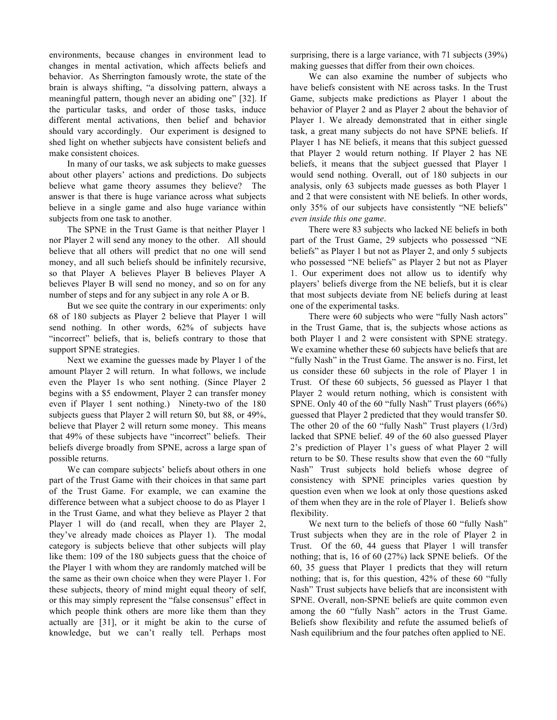environments, because changes in environment lead to changes in mental activation, which affects beliefs and behavior. As Sherrington famously wrote, the state of the brain is always shifting, "a dissolving pattern, always a meaningful pattern, though never an abiding one" [32]. If the particular tasks, and order of those tasks, induce different mental activations, then belief and behavior should vary accordingly. Our experiment is designed to shed light on whether subjects have consistent beliefs and make consistent choices.

In many of our tasks, we ask subjects to make guesses about other players' actions and predictions. Do subjects believe what game theory assumes they believe? The answer is that there is huge variance across what subjects believe in a single game and also huge variance within subjects from one task to another.

The SPNE in the Trust Game is that neither Player 1 nor Player 2 will send any money to the other. All should believe that all others will predict that no one will send money, and all such beliefs should be infinitely recursive, so that Player A believes Player B believes Player A believes Player B will send no money, and so on for any number of steps and for any subject in any role A or B.

But we see quite the contrary in our experiments: only 68 of 180 subjects as Player 2 believe that Player 1 will send nothing. In other words, 62% of subjects have "incorrect" beliefs, that is, beliefs contrary to those that support SPNE strategies.

Next we examine the guesses made by Player 1 of the amount Player 2 will return. In what follows, we include even the Player 1s who sent nothing. (Since Player 2 begins with a \$5 endowment, Player 2 can transfer money even if Player 1 sent nothing.) Ninety-two of the 180 subjects guess that Player 2 will return \$0, but 88, or 49%, believe that Player 2 will return some money. This means that 49% of these subjects have "incorrect" beliefs. Their beliefs diverge broadly from SPNE, across a large span of possible returns.

We can compare subjects' beliefs about others in one part of the Trust Game with their choices in that same part of the Trust Game. For example, we can examine the difference between what a subject choose to do as Player 1 in the Trust Game, and what they believe as Player 2 that Player 1 will do (and recall, when they are Player 2, they've already made choices as Player 1). The modal category is subjects believe that other subjects will play like them: 109 of the 180 subjects guess that the choice of the Player 1 with whom they are randomly matched will be the same as their own choice when they were Player 1. For these subjects, theory of mind might equal theory of self, or this may simply represent the "false consensus" effect in which people think others are more like them than they actually are [31], or it might be akin to the curse of knowledge, but we can't really tell. Perhaps most

surprising, there is a large variance, with 71 subjects (39%) making guesses that differ from their own choices.

We can also examine the number of subjects who have beliefs consistent with NE across tasks. In the Trust Game, subjects make predictions as Player 1 about the behavior of Player 2 and as Player 2 about the behavior of Player 1. We already demonstrated that in either single task, a great many subjects do not have SPNE beliefs. If Player 1 has NE beliefs, it means that this subject guessed that Player 2 would return nothing. If Player 2 has NE beliefs, it means that the subject guessed that Player 1 would send nothing. Overall, out of 180 subjects in our analysis, only 63 subjects made guesses as both Player 1 and 2 that were consistent with NE beliefs. In other words, only 35% of our subjects have consistently "NE beliefs" *even inside this one game*.

There were 83 subjects who lacked NE beliefs in both part of the Trust Game, 29 subjects who possessed "NE beliefs" as Player 1 but not as Player 2, and only 5 subjects who possessed "NE beliefs" as Player 2 but not as Player 1. Our experiment does not allow us to identify why players' beliefs diverge from the NE beliefs, but it is clear that most subjects deviate from NE beliefs during at least one of the experimental tasks.

There were 60 subjects who were "fully Nash actors" in the Trust Game, that is, the subjects whose actions as both Player 1 and 2 were consistent with SPNE strategy. We examine whether these 60 subjects have beliefs that are "fully Nash" in the Trust Game. The answer is no. First, let us consider these 60 subjects in the role of Player 1 in Trust. Of these 60 subjects, 56 guessed as Player 1 that Player 2 would return nothing, which is consistent with SPNE. Only 40 of the 60 "fully Nash" Trust players (66%) guessed that Player 2 predicted that they would transfer \$0. The other 20 of the 60 "fully Nash" Trust players (1/3rd) lacked that SPNE belief. 49 of the 60 also guessed Player 2's prediction of Player 1's guess of what Player 2 will return to be \$0. These results show that even the 60 "fully Nash" Trust subjects hold beliefs whose degree of consistency with SPNE principles varies question by question even when we look at only those questions asked of them when they are in the role of Player 1. Beliefs show flexibility.

We next turn to the beliefs of those 60 "fully Nash" Trust subjects when they are in the role of Player 2 in Trust. Of the 60, 44 guess that Player 1 will transfer nothing; that is, 16 of 60 (27%) lack SPNE beliefs. Of the 60, 35 guess that Player 1 predicts that they will return nothing; that is, for this question, 42% of these 60 "fully Nash" Trust subjects have beliefs that are inconsistent with SPNE. Overall, non-SPNE beliefs are quite common even among the 60 "fully Nash" actors in the Trust Game. Beliefs show flexibility and refute the assumed beliefs of Nash equilibrium and the four patches often applied to NE.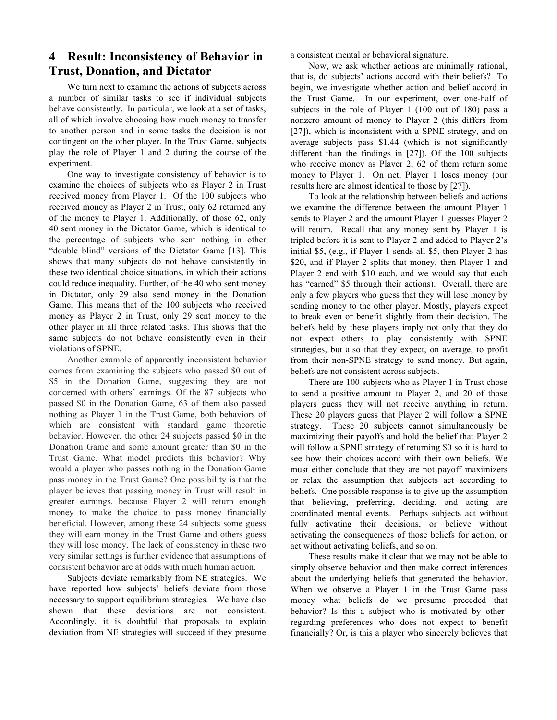# **4 Result: Inconsistency of Behavior in Trust, Donation, and Dictator**

We turn next to examine the actions of subjects across a number of similar tasks to see if individual subjects behave consistently. In particular, we look at a set of tasks, all of which involve choosing how much money to transfer to another person and in some tasks the decision is not contingent on the other player. In the Trust Game, subjects play the role of Player 1 and 2 during the course of the experiment.

One way to investigate consistency of behavior is to examine the choices of subjects who as Player 2 in Trust received money from Player 1. Of the 100 subjects who received money as Player 2 in Trust, only 62 returned any of the money to Player 1. Additionally, of those 62, only 40 sent money in the Dictator Game, which is identical to the percentage of subjects who sent nothing in other "double blind" versions of the Dictator Game [13]. This shows that many subjects do not behave consistently in these two identical choice situations, in which their actions could reduce inequality. Further, of the 40 who sent money in Dictator, only 29 also send money in the Donation Game. This means that of the 100 subjects who received money as Player 2 in Trust, only 29 sent money to the other player in all three related tasks. This shows that the same subjects do not behave consistently even in their violations of SPNE.

Another example of apparently inconsistent behavior comes from examining the subjects who passed \$0 out of \$5 in the Donation Game, suggesting they are not concerned with others' earnings. Of the 87 subjects who passed \$0 in the Donation Game, 63 of them also passed nothing as Player 1 in the Trust Game, both behaviors of which are consistent with standard game theoretic behavior. However, the other 24 subjects passed \$0 in the Donation Game and some amount greater than \$0 in the Trust Game. What model predicts this behavior? Why would a player who passes nothing in the Donation Game pass money in the Trust Game? One possibility is that the player believes that passing money in Trust will result in greater earnings, because Player 2 will return enough money to make the choice to pass money financially beneficial. However, among these 24 subjects some guess they will earn money in the Trust Game and others guess they will lose money. The lack of consistency in these two very similar settings is further evidence that assumptions of consistent behavior are at odds with much human action.

Subjects deviate remarkably from NE strategies. We have reported how subjects' beliefs deviate from those necessary to support equilibrium strategies. We have also shown that these deviations are not consistent. Accordingly, it is doubtful that proposals to explain deviation from NE strategies will succeed if they presume a consistent mental or behavioral signature.

Now, we ask whether actions are minimally rational, that is, do subjects' actions accord with their beliefs? To begin, we investigate whether action and belief accord in the Trust Game. In our experiment, over one-half of subjects in the role of Player 1 (100 out of 180) pass a nonzero amount of money to Player 2 (this differs from [27]), which is inconsistent with a SPNE strategy, and on average subjects pass \$1.44 (which is not significantly different than the findings in [27]). Of the 100 subjects who receive money as Player 2, 62 of them return some money to Player 1. On net, Player 1 loses money (our results here are almost identical to those by [27]).

To look at the relationship between beliefs and actions we examine the difference between the amount Player 1 sends to Player 2 and the amount Player 1 guesses Player 2 will return. Recall that any money sent by Player 1 is tripled before it is sent to Player 2 and added to Player 2's initial \$5, (e.g., if Player 1 sends all \$5, then Player 2 has \$20, and if Player 2 splits that money, then Player 1 and Player 2 end with \$10 each, and we would say that each has "earned" \$5 through their actions). Overall, there are only a few players who guess that they will lose money by sending money to the other player. Mostly, players expect to break even or benefit slightly from their decision. The beliefs held by these players imply not only that they do not expect others to play consistently with SPNE strategies, but also that they expect, on average, to profit from their non-SPNE strategy to send money. But again, beliefs are not consistent across subjects.

There are 100 subjects who as Player 1 in Trust chose to send a positive amount to Player 2, and 20 of those players guess they will not receive anything in return. These 20 players guess that Player 2 will follow a SPNE strategy. These 20 subjects cannot simultaneously be maximizing their payoffs and hold the belief that Player 2 will follow a SPNE strategy of returning \$0 so it is hard to see how their choices accord with their own beliefs. We must either conclude that they are not payoff maximizers or relax the assumption that subjects act according to beliefs. One possible response is to give up the assumption that believing, preferring, deciding, and acting are coordinated mental events. Perhaps subjects act without fully activating their decisions, or believe without activating the consequences of those beliefs for action, or act without activating beliefs, and so on.

These results make it clear that we may not be able to simply observe behavior and then make correct inferences about the underlying beliefs that generated the behavior. When we observe a Player 1 in the Trust Game pass money what beliefs do we presume preceded that behavior? Is this a subject who is motivated by otherregarding preferences who does not expect to benefit financially? Or, is this a player who sincerely believes that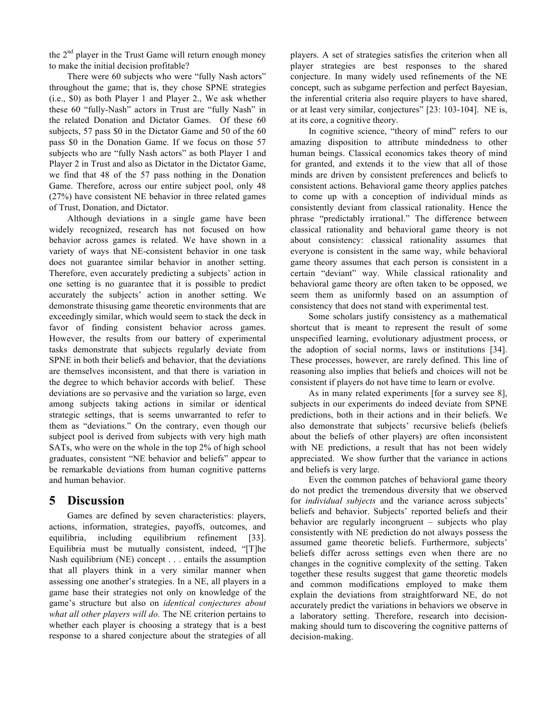the  $2<sup>nd</sup>$  player in the Trust Game will return enough money to make the initial decision profitable?

There were 60 subjects who were "fully Nash actors" throughout the game; that is, they chose SPNE strategies (i.e., \$0) as both Player 1 and Player 2., We ask whether these 60 "fully-Nash" actors in Trust are "fully Nash" in the related Donation and Dictator Games. Of these 60 subjects, 57 pass \$0 in the Dictator Game and 50 of the 60 pass \$0 in the Donation Game. If we focus on those 57 subjects who are "fully Nash actors" as both Player 1 and Player 2 in Trust and also as Dictator in the Dictator Game, we find that 48 of the 57 pass nothing in the Donation Game. Therefore, across our entire subject pool, only 48 (27%) have consistent NE behavior in three related games of Trust, Donation, and Dictator.

Although deviations in a single game have been widely recognized, research has not focused on how behavior across games is related. We have shown in a variety of ways that NE-consistent behavior in one task does not guarantee similar behavior in another setting. Therefore, even accurately predicting a subjects' action in one setting is no guarantee that it is possible to predict accurately the subjects' action in another setting. We demonstrate thisusing game theoretic environments that are exceedingly similar, which would seem to stack the deck in favor of finding consistent behavior across games. However, the results from our battery of experimental tasks demonstrate that subjects regularly deviate from SPNE in both their beliefs and behavior, that the deviations are themselves inconsistent, and that there is variation in the degree to which behavior accords with belief. These deviations are so pervasive and the variation so large, even among subjects taking actions in similar or identical strategic settings, that is seems unwarranted to refer to them as "deviations." On the contrary, even though our subject pool is derived from subjects with very high math SATs, who were on the whole in the top 2% of high school graduates, consistent "NE behavior and beliefs" appear to be remarkable deviations from human cognitive patterns and human behavior.

## **5 Discussion**

Games are defined by seven characteristics: players, actions, information, strategies, payoffs, outcomes, and equilibria, including equilibrium refinement [33]. Equilibria must be mutually consistent, indeed, "[T]he Nash equilibrium (NE) concept . . . entails the assumption that all players think in a very similar manner when assessing one another's strategies. In a NE, all players in a game base their strategies not only on knowledge of the game's structure but also on *identical conjectures about what all other players will do.* The NE criterion pertains to whether each player is choosing a strategy that is a best response to a shared conjecture about the strategies of all players. A set of strategies satisfies the criterion when all player strategies are best responses to the shared conjecture. In many widely used refinements of the NE concept, such as subgame perfection and perfect Bayesian, the inferential criteria also require players to have shared, or at least very similar, conjectures" [23: 103-104]. NE is, at its core, a cognitive theory.

In cognitive science, "theory of mind" refers to our amazing disposition to attribute mindedness to other human beings. Classical economics takes theory of mind for granted, and extends it to the view that all of those minds are driven by consistent preferences and beliefs to consistent actions. Behavioral game theory applies patches to come up with a conception of individual minds as consistently deviant from classical rationality. Hence the phrase "predictably irrational." The difference between classical rationality and behavioral game theory is not about consistency: classical rationality assumes that everyone is consistent in the same way, while behavioral game theory assumes that each person is consistent in a certain "deviant" way. While classical rationality and behavioral game theory are often taken to be opposed, we seem them as uniformly based on an assumption of consistency that does not stand with experimental test.

Some scholars justify consistency as a mathematical shortcut that is meant to represent the result of some unspecified learning, evolutionary adjustment process, or the adoption of social norms, laws or institutions [34]. These processes, however, are rarely defined. This line of reasoning also implies that beliefs and choices will not be consistent if players do not have time to learn or evolve.

As in many related experiments [for a survey see 8], subjects in our experiments do indeed deviate from SPNE predictions, both in their actions and in their beliefs. We also demonstrate that subjects' recursive beliefs (beliefs about the beliefs of other players) are often inconsistent with NE predictions, a result that has not been widely appreciated. We show further that the variance in actions and beliefs is very large.

Even the common patches of behavioral game theory do not predict the tremendous diversity that we observed for *individual subjects* and the variance across subjects' beliefs and behavior. Subjects' reported beliefs and their behavior are regularly incongruent – subjects who play consistently with NE prediction do not always possess the assumed game theoretic beliefs. Furthermore, subjects' beliefs differ across settings even when there are no changes in the cognitive complexity of the setting. Taken together these results suggest that game theoretic models and common modifications employed to make them explain the deviations from straightforward NE, do not accurately predict the variations in behaviors we observe in a laboratory setting. Therefore, research into decisionmaking should turn to discovering the cognitive patterns of decision-making.